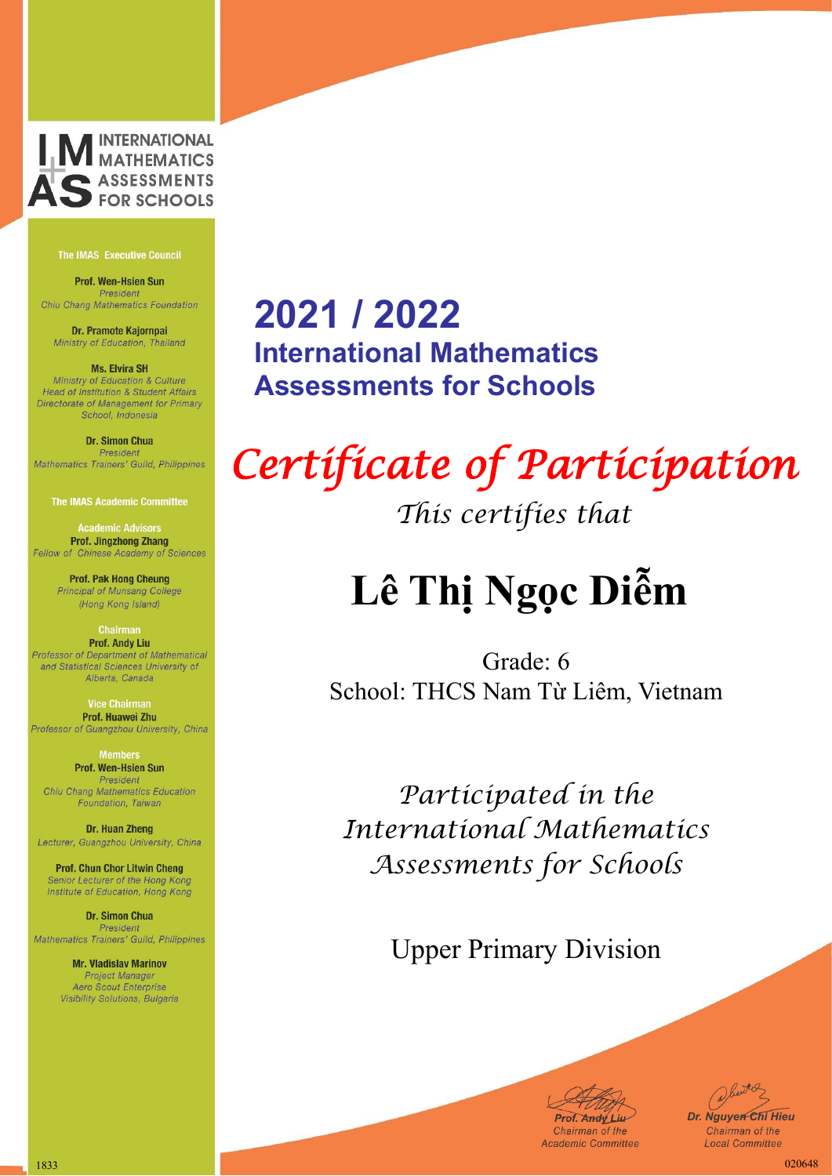

Prof. Wen-Hsien Sun President Chiu Chang Mathematics Foundation

Dr. Pramote Kajornpai Ministry of Education, Thailand

**Ms. Elvira SH** Ministry of Education & Culture Head of Institution & Student Affairs Directorate of Management for Primary School, Indonesia

Dr. Simon Chua President Mathematics Trainers' Guild, Philippines

**The IMAS Academic Committee** 

**Academic Advisors Prof. Jingzhong Zhang** Fellow of Chinese Academy of Sciences

> **Prof. Pak Hong Cheung** Principal of Munsang College (Hong Kong Island)

**Chairman Prof. Andy Liu** Professor of Department of Mathematical and Statistical Sciences University of Alberta, Canada

**Vice Chairma** Prof. Huawei Zhu Professor of Guangzhou University, China

> **Members** Prof. Wen-Hsien Sun President

Chiu Chang Mathematics Education Foundation, Taiwan

Dr. Huan Zheng Lecturer, Guangzhou University, China

**Prof. Chun Chor Litwin Cheng** Senior Lecturer of the Hong Kong Institute of Education, Hong Kong

**Dr. Simon Chua** President Mathematics Trainers' Guild, Philippines

> **Mr. Vladislav Marinov Project Manager** Aero Scout Enterprise Visibility Solutions, Bulgaria

### **2021 / 2022 International Mathematics Assessments for Schools**

## *Certificate of Participation*

*This certifies that*

## **Lê Thị Ngọc Diễm**

Grade: 6 School: THCS Nam Từ Liêm, Vietnam

*Participated in the International Mathematics Assessments for Schools*

Upper Primary Division

**Prof. Andy Liu-**

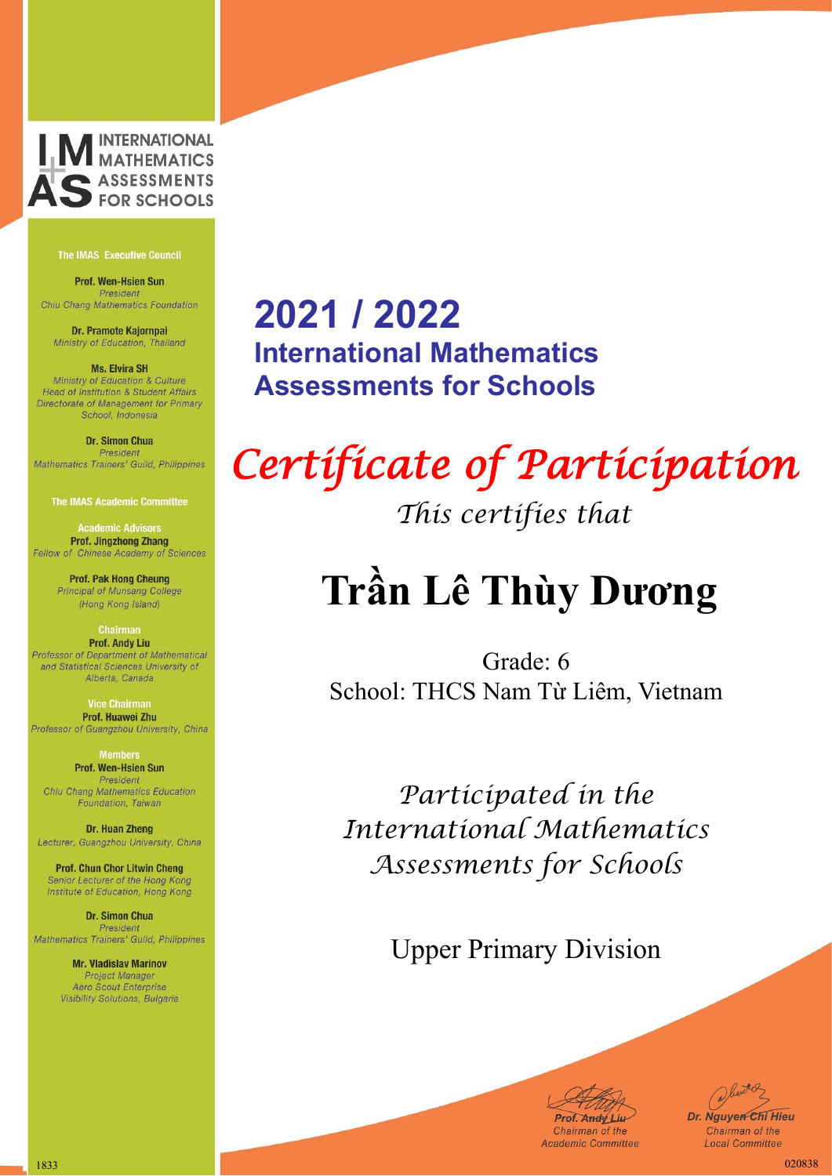

Prof. Wen-Hsien Sun President Chiu Chang Mathematics Foundation

Dr. Pramote Kajornpai Ministry of Education, Thailand

**Ms. Elvira SH** Ministry of Education & Culture Head of Institution & Student Affairs Directorate of Management for Primary School, Indonesia

Dr. Simon Chua President Mathematics Trainers' Guild, Philippines

**The IMAS Academic Committee** 

**Academic Advisors Prof. Jingzhong Zhang** Fellow of Chinese Academy of Sciences

> **Prof. Pak Hong Cheung** Principal of Munsang College (Hong Kong Island)

**Chairman Prof. Andy Liu** Professor of Department of Mathematical and Statistical Sciences University of Alberta, Canada

Prof. Huawei Zhu Professor of Guangzhou University, China

> **Members** Prof. Wen-Hsien Sun President

Chiu Chang Mathematics Education Foundation, Taiwan

Dr. Huan Zheng Lecturer, Guangzhou University, China

**Prof. Chun Chor Litwin Cheng** Senior Lecturer of the Hong Kong Institute of Education, Hong Kong

**Dr. Simon Chua** President Mathematics Trainers' Guild, Philippines

> **Mr. Vladislav Marinov Project Manager** Aero Scout Enterprise Visibility Solutions, Bulgaria

### **2021 / 2022 International Mathematics Assessments for Schools**

## *Certificate of Participation*

*This certifies that*

### **Trần Lê Thùy Dương**

Grade: 6 School: THCS Nam Từ Liêm, Vietnam

*Participated in the International Mathematics Assessments for Schools*

Upper Primary Division

**Prof. Andy Liu-**

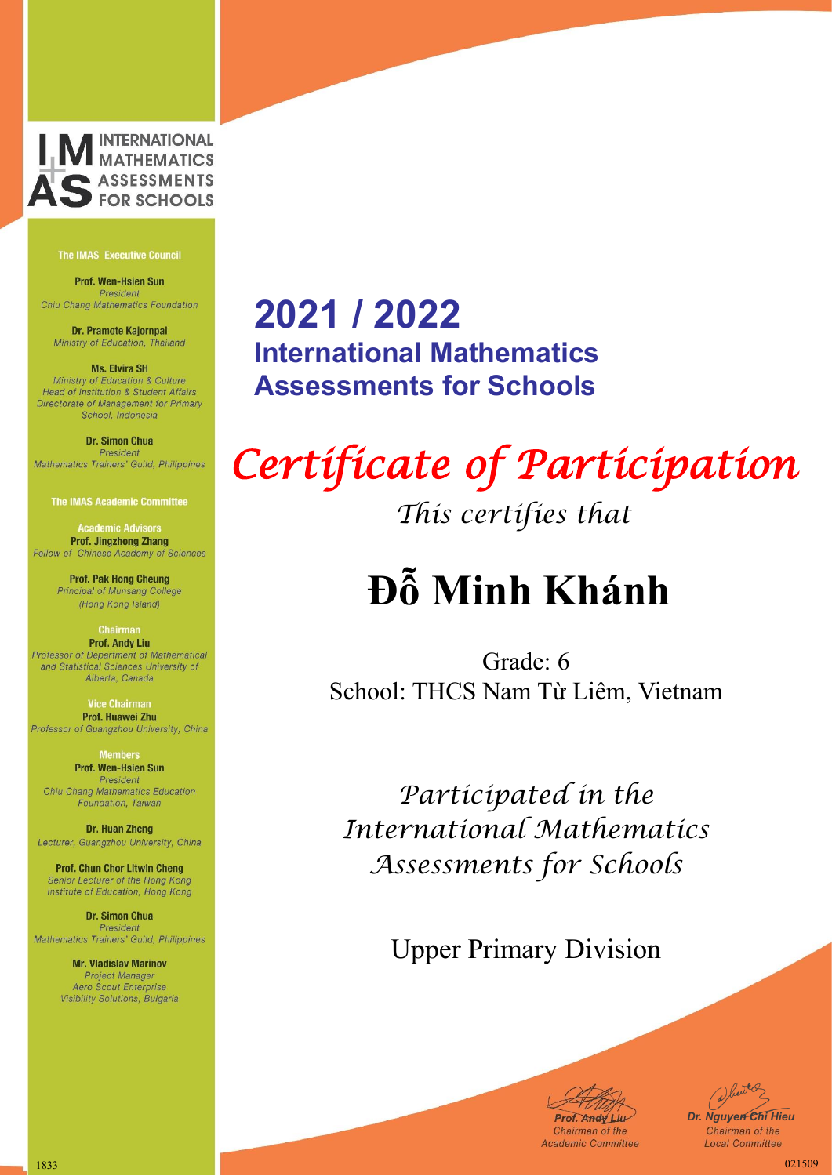

Prof. Wen-Hsien Sun President Chiu Chang Mathematics Foundation

Dr. Pramote Kajornpai Ministry of Education, Thailand

**Ms. Elvira SH** Ministry of Education & Culture Head of Institution & Student Affairs Directorate of Management for Primary School, Indonesia

#### Dr. Simon Chua President Mathematics Trainers' Guild, Philippines

**The IMAS Academic Committee** 

**Academic Advisors Prof. Jingzhong Zhang** Fellow of Chinese Academy of Sciences

> **Prof. Pak Hong Cheung** Principal of Munsang College (Hong Kong Island)

#### **Chairman Prof. Andy Liu** Professor of Department of Mathematical and Statistical Sciences University of Alberta, Canada

**Vice Chairma** Prof. Huawei Zhu Professor of Guangzhou University, China

> **Members** Prof. Wen-Hsien Sun President

Chiu Chang Mathematics Education Foundation, Taiwan

Dr. Huan Zheng Lecturer, Guangzhou University, China

**Prof. Chun Chor Litwin Cheng** Senior Lecturer of the Hong Kong Institute of Education, Hong Kong

**Dr. Simon Chua** President Mathematics Trainers' Guild, Philippines

> **Mr. Vladislav Marinov Project Manager** Aero Scout Enterprise Visibility Solutions, Bulgaria

### **2021 / 2022 International Mathematics Assessments for Schools**

# *Certificate of Participation*

*This certifies that*

## **Đỗ Minh Khánh**

Grade: 6 School: THCS Nam Từ Liêm, Vietnam

*Participated in the International Mathematics Assessments for Schools*

Upper Primary Division



1833 021509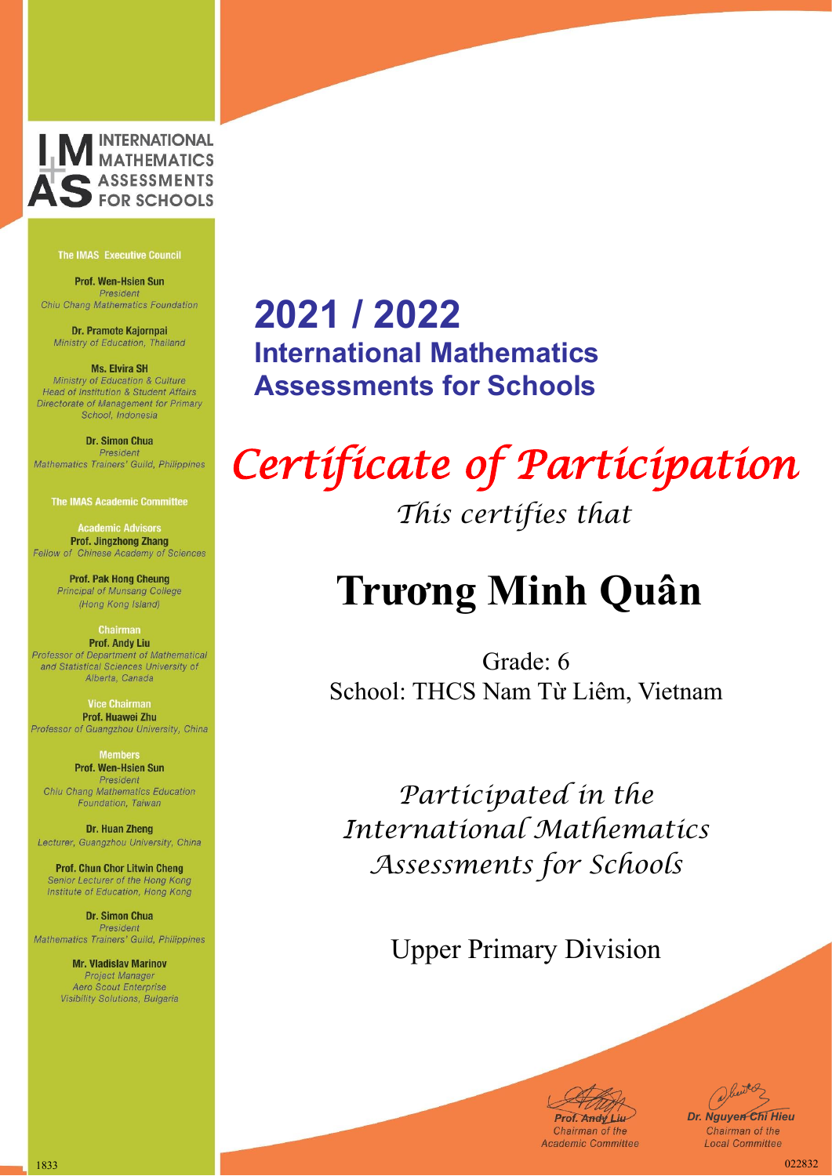

Prof. Wen-Hsien Sun President Chiu Chang Mathematics Foundation

Dr. Pramote Kajornpai Ministry of Education, Thailand

**Ms. Elvira SH** Ministry of Education & Culture Head of Institution & Student Affairs Directorate of Management for Primary School, Indonesia

#### Dr. Simon Chua President Mathematics Trainers' Guild, Philippines

**The IMAS Academic Committee** 

**Academic Advisors Prof. Jingzhong Zhang** Fellow of Chinese Academy of Sciences

> **Prof. Pak Hong Cheung** Principal of Munsang College (Hong Kong Island)

#### **Chairman Prof. Andy Liu** Professor of Department of Mathematical and Statistical Sciences University of Alberta, Canada

**Vice Chairma** Prof. Huawei Zhu Professor of Guangzhou University, China

> **Members** Prof. Wen-Hsien Sun President

Chiu Chang Mathematics Education Foundation, Taiwan

Dr. Huan Zheng Lecturer, Guangzhou University, China

**Prof. Chun Chor Litwin Cheng** Senior Lecturer of the Hong Kong Institute of Education, Hong Kong

**Dr. Simon Chua** President Mathematics Trainers' Guild, Philippines

> **Mr. Vladislav Marinov Project Manager** Aero Scout Enterprise Visibility Solutions, Bulgaria

### **2021 / 2022 International Mathematics Assessments for Schools**

# *Certificate of Participation*

*This certifies that*

### **Trương Minh Quân**

Grade: 6 School: THCS Nam Từ Liêm, Vietnam

*Participated in the International Mathematics Assessments for Schools*

Upper Primary Division

**Prof. Andy Liu-**

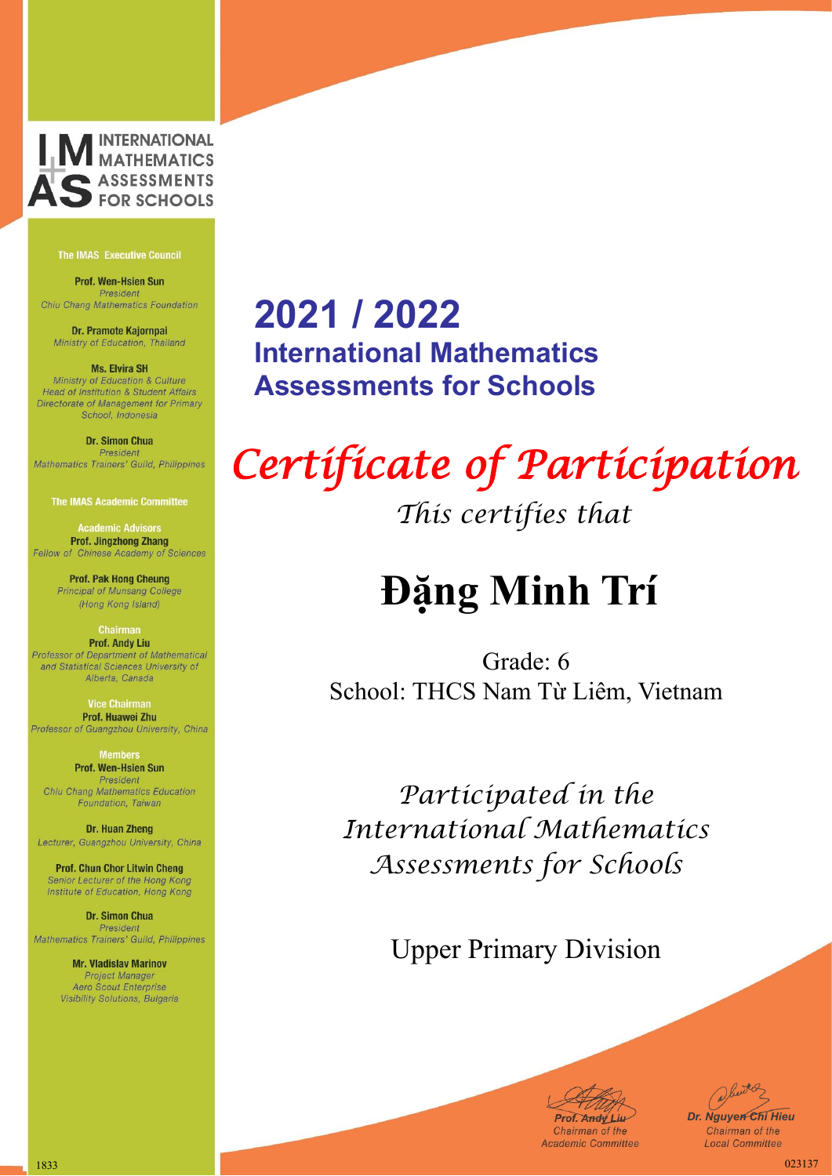

Prof. Wen-Hsien Sun President Chiu Chang Mathematics Foundation

Dr. Pramote Kajornpai Ministry of Education, Thailand

**Ms. Elvira SH** Ministry of Education & Culture Head of Institution & Student Affairs Directorate of Management for Primary School, Indonesia

Dr. Simon Chua President Mathematics Trainers' Guild, Philippines

**The IMAS Academic Committee** 

**Academic Advisors Prof. Jingzhong Zhang** Fellow of Chinese Academy of Sciences

> **Prof. Pak Hong Cheung** Principal of Munsang College (Hong Kong Island)

**Chairman Prof. Andy Liu** Professor of Department of Mathematical and Statistical Sciences University of Alberta, Canada

**Vice Chairma** Prof. Huawei Zhu Professor of Guangzhou University, China

> **Members** Prof. Wen-Hsien Sun President

Chiu Chang Mathematics Education Foundation, Taiwan

Dr. Huan Zheng Lecturer, Guangzhou University, China

**Prof. Chun Chor Litwin Cheng** Senior Lecturer of the Hong Kong Institute of Education, Hong Kong

**Dr. Simon Chua** President Mathematics Trainers' Guild, Philippines

> **Mr. Vladislav Marinov Project Manager** Aero Scout Enterprise Visibility Solutions, Bulgaria

### **2021 / 2022 International Mathematics Assessments for Schools**

## *Certificate of Participation*

*This certifies that*

### **Đặng Minh Trí**

Grade: 6 School: THCS Nam Từ Liêm, Vietnam

*Participated in the International Mathematics Assessments for Schools*

Upper Primary Division

Prof. Andy Liu-

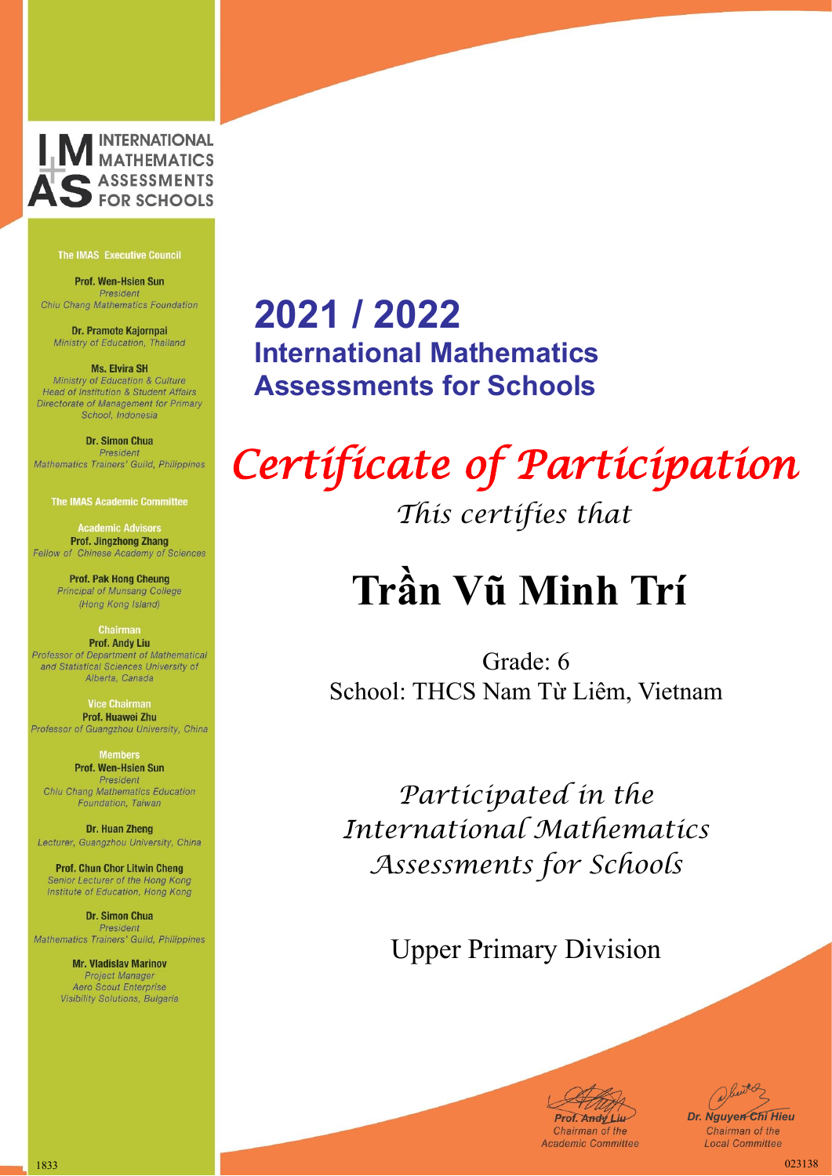

Prof. Wen-Hsien Sun President Chiu Chang Mathematics Foundation

Dr. Pramote Kajornpai Ministry of Education, Thailand

**Ms. Elvira SH** Ministry of Education & Culture Head of Institution & Student Affairs Directorate of Management for Primary School, Indonesia

#### Dr. Simon Chua President Mathematics Trainers' Guild, Philippines

**The IMAS Academic Committee** 

**Academic Advisors Prof. Jingzhong Zhang** Fellow of Chinese Academy of Sciences

> **Prof. Pak Hong Cheung** Principal of Munsang College (Hong Kong Island)

#### **Chairman Prof. Andy Liu** Professor of Department of Mathematical and Statistical Sciences University of

Alberta, Canada

**Vice Chairma** Prof. Huawei Zhu Professor of Guangzhou University, China

> **Members** Prof. Wen-Hsien Sun President

Chiu Chang Mathematics Education Foundation, Taiwan

Dr. Huan Zheng Lecturer, Guangzhou University, China

**Prof. Chun Chor Litwin Cheng** Senior Lecturer of the Hong Kong Institute of Education, Hong Kong

**Dr. Simon Chua** President Mathematics Trainers' Guild, Philippines

> **Mr. Vladislav Marinov Project Manager** Aero Scout Enterprise Visibility Solutions, Bulgaria

### **2021 / 2022 International Mathematics Assessments for Schools**

# *Certificate of Participation*

*This certifies that*

## **Trần Vũ Minh Trí**

Grade: 6 School: THCS Nam Từ Liêm, Vietnam

*Participated in the International Mathematics Assessments for Schools*

Upper Primary Division

**Prof. Andy Liu-**

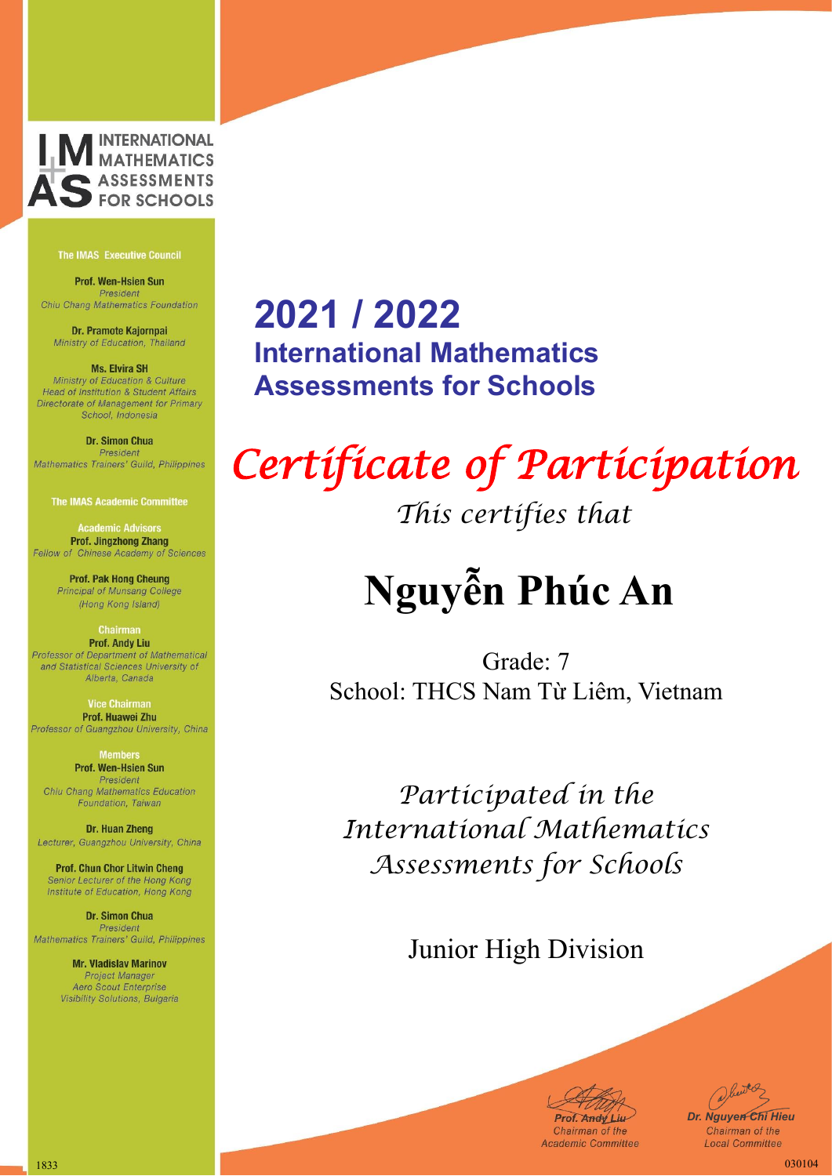

Prof. Wen-Hsien Sun President Chiu Chang Mathematics Foundation

Dr. Pramote Kajornpai Ministry of Education, Thailand

**Ms. Elvira SH** Ministry of Education & Culture Head of Institution & Student Affairs Directorate of Management for Primary School, Indonesia

#### Dr. Simon Chua President Mathematics Trainers' Guild, Philippines

**The IMAS Academic Committee** 

**Academic Advisors Prof. Jingzhong Zhang** Fellow of Chinese Academy of Sciences

> **Prof. Pak Hong Cheung** Principal of Munsang College (Hong Kong Island)

#### **Chairman Prof. Andy Liu** Professor of Department of Mathematical and Statistical Sciences University of Alberta, Canada

Prof. Huawei Zhu

Professor of Guangzhou University, China **Members** Prof. Wen-Hsien Sun

President Chiu Chang Mathematics Education Foundation, Taiwan

Dr. Huan Zheng Lecturer, Guangzhou University, China

**Prof. Chun Chor Litwin Cheng** Senior Lecturer of the Hong Kong Institute of Education, Hong Kong

**Dr. Simon Chua** President Mathematics Trainers' Guild, Philippines

> **Mr. Vladislav Marinov Project Manager** Aero Scout Enterprise Visibility Solutions, Bulgaria

### **2021 / 2022 International Mathematics Assessments for Schools**

## *Certificate of Participation*

*This certifies that*

# **Nguyễn Phúc An**

Grade: 7 School: THCS Nam Từ Liêm, Vietnam

*Participated in the International Mathematics Assessments for Schools*

### Junior High Division